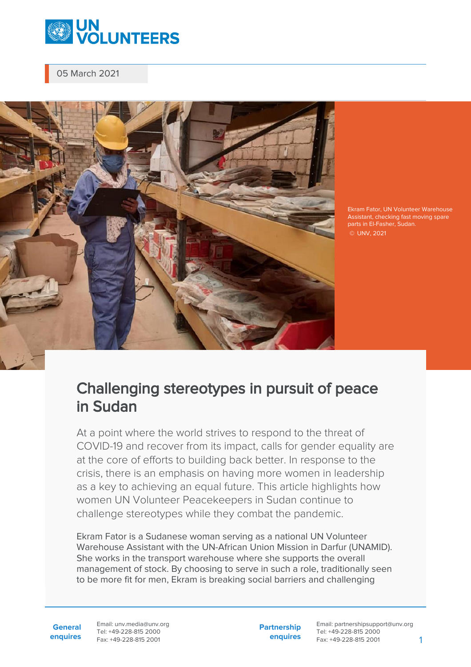

05 March 2021



Ekram Fator, UN Volunteer Warehouse Assistant, checking fast moving spare parts in El-Fasher, Sudan. © UNV, 2021

## Challenging stereotypes in pursuit of peace in Sudan

At a point where the world strives to respond to the threat of COVID-19 and recover from its impact, calls for gender equality are at the core of efforts to building back better. In response to the crisis, there is an emphasis on having more women in leadership as a key to achieving an equal future. This article highlights how women UN Volunteer Peacekeepers in Sudan continue to challenge stereotypes while they combat the pandemic.

Ekram Fator is a Sudanese woman serving as a national UN Volunteer Warehouse Assistant with the UN-African Union Mission in Darfur (UNAMID). She works in the transport warehouse where she supports the overall management of stock. By choosing to serve in such a role, traditionally seen to be more fit for men, Ekram is breaking social barriers and challenging

**General enquires** Email: unv.media@unv.org Tel: +49-228-815 2000 Fax: +49-228-815 2001

**Partnership enquires**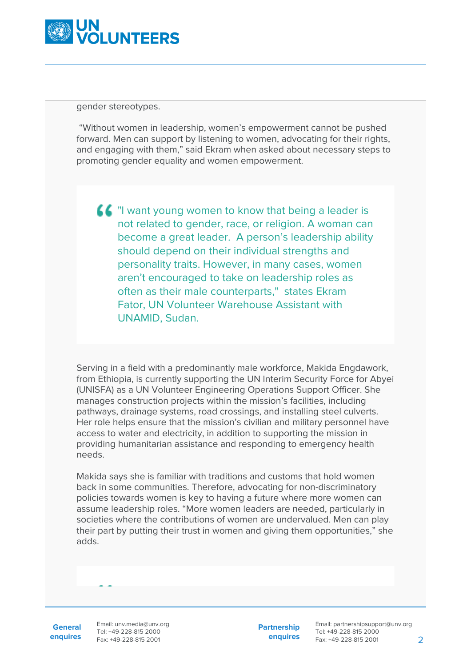

gender stereotypes.

 "Without women in leadership, women's empowerment cannot be pushed forward. Men can support by listening to women, advocating for their rights, and engaging with them," said Ekram when asked about necessary steps to promoting gender equality and women empowerment.

**44** "I want young women to know that being a leader is not related to gender, race, or religion. A woman can become a great leader. A person's leadership ability should depend on their individual strengths and personality traits. However, in many cases, women aren't encouraged to take on leadership roles as often as their male counterparts," states Ekram Fator, UN Volunteer Warehouse Assistant with UNAMID, Sudan.

Serving in a field with a predominantly male workforce, Makida Engdawork, from Ethiopia, is currently supporting the UN Interim Security Force for Abyei (UNISFA) as a UN Volunteer Engineering Operations Support Officer. She manages construction projects within the mission's facilities, including pathways, drainage systems, road crossings, and installing steel culverts. Her role helps ensure that the mission's civilian and military personnel have access to water and electricity, in addition to supporting the mission in providing humanitarian assistance and responding to emergency health needs.

Makida says she is familiar with traditions and customs that hold women back in some communities. Therefore, advocating for non-discriminatory policies towards women is key to having a future where more women can assume leadership roles. "More women leaders are needed, particularly in societies where the contributions of women are undervalued. Men can play their part by putting their trust in women and giving them opportunities," she adds.

**General enquires** Email: unv.media@unv.org Tel: +49-228-815 2000 Fax: +49-228-815 2001

**Partnership enquires**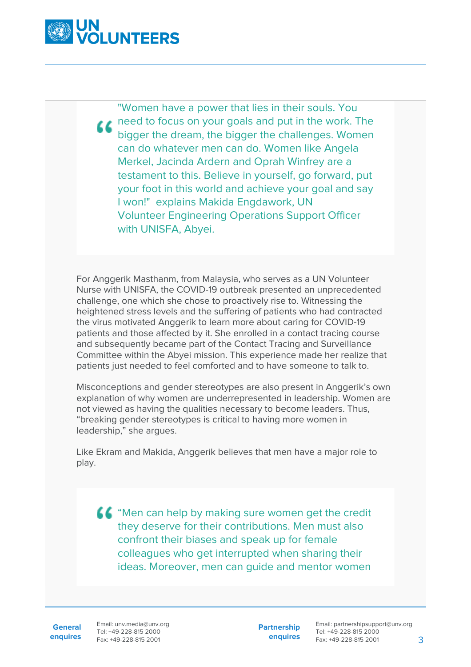

"Women have a power that lies in their souls. You **LA** need to focus on your goals and put in the work. The bigger the dream, the bigger the challenges. Women can do whatever men can do. Women like Angela Merkel, Jacinda Ardern and Oprah Winfrey are a testament to this. Believe in yourself, go forward, put your foot in this world and achieve your goal and say I won!" explains Makida Engdawork, UN Volunteer Engineering Operations Support Officer with UNISFA, Abyei.

For Anggerik Masthanm, from Malaysia, who serves as a UN Volunteer Nurse with UNISFA, the COVID-19 outbreak presented an unprecedented challenge, one which she chose to proactively rise to. Witnessing the heightened stress levels and the suffering of patients who had contracted the virus motivated Anggerik to learn more about caring for COVID-19 patients and those affected by it. She enrolled in a contact tracing course and subsequently became part of the Contact Tracing and Surveillance Committee within the Abyei mission. This experience made her realize that patients just needed to feel comforted and to have someone to talk to.

Misconceptions and gender stereotypes are also present in Anggerik's own explanation of why women are underrepresented in leadership. Women are not viewed as having the qualities necessary to become leaders. Thus, "breaking gender stereotypes is critical to having more women in leadership," she argues.

Like Ekram and Makida, Anggerik believes that men have a major role to play.

 $\blacksquare$  "Men can help by making sure women get the credit they deserve for their contributions. Men must also confront their biases and speak up for female colleagues who get interrupted when sharing their ideas. Moreover, men can guide and mentor women

**General**

**enquires** Fax: +49-228-815 2001 Email: unv.media@unv.org Tel: +49-228-815 2000

**Partnership enquires**